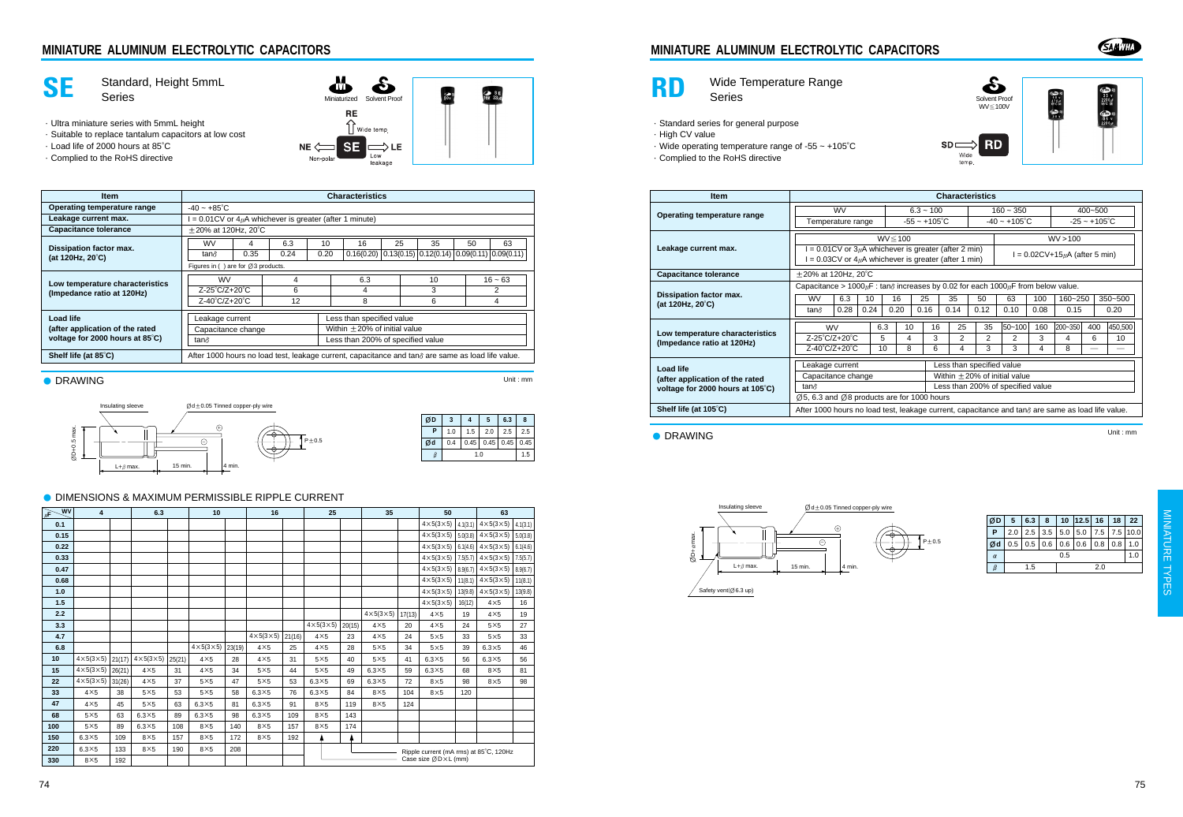# **MINIATURE ALUMINUM ELECTROLYTIC CAPACITORS**





# **RD** Wide Temperature Range<br>Series

·Standard series for general purpose

- ·High CV value
- ·Wide operating temperature range of -55 ~ +105°C
- ·Complied to the RoHS directive





 $\begin{array}{c} 600000 \\ 50000 \\ 470000 \\ 181000 \end{array}$ ø.

**RD SDD** .<br>Wide temp.

| <b>Item</b>                                           | <b>Characteristics</b>                                                                                                     |      |      |      |                        |      |                                   |                           |                                    |          |                        |        |             |  |  |
|-------------------------------------------------------|----------------------------------------------------------------------------------------------------------------------------|------|------|------|------------------------|------|-----------------------------------|---------------------------|------------------------------------|----------|------------------------|--------|-------------|--|--|
| Operating temperature range                           | <b>WV</b>                                                                                                                  |      |      |      | $6.3 - 100$            |      |                                   | $160 - 350$               |                                    |          | $400 - 500$            |        |             |  |  |
|                                                       | Temperature range                                                                                                          |      |      |      | $-55 - +105^{\circ}$ C |      |                                   | $-40 \sim +105^{\circ}$ C |                                    |          | $-25 - +105^{\circ}$ C |        |             |  |  |
|                                                       | $WV \le 100$                                                                                                               |      |      |      |                        |      |                                   |                           |                                    | WV > 100 |                        |        |             |  |  |
| Leakage current max.                                  | $I = 0.01CV$ or $3\mu A$ whichever is greater (after 2 min)<br>$I = 0.03CV$ or $4\mu A$ whichever is greater (after 1 min) |      |      |      |                        |      |                                   |                           | $I = 0.02CV+15\mu A$ (after 5 min) |          |                        |        |             |  |  |
| <b>Capacitance tolerance</b>                          | $\pm$ 20% at 120Hz, 20°C                                                                                                   |      |      |      |                        |      |                                   |                           |                                    |          |                        |        |             |  |  |
|                                                       | Capacitance > $1000 \mu$ F : tan $\delta$ increases by 0.02 for each $1000 \mu$ F from below value.                        |      |      |      |                        |      |                                   |                           |                                    |          |                        |        |             |  |  |
| Dissipation factor max.<br>(at 120Hz, $20^{\circ}$ C) | 6.3<br><b>WV</b>                                                                                                           |      | 10   | 16   |                        | 25   | 35                                | 50                        | 63                                 | 100      | 160~250                |        | $350 - 500$ |  |  |
|                                                       | tan∂                                                                                                                       | 0.28 | 0.24 | 0.20 |                        | 0.16 | 0.14                              | 0.12                      | 0.10                               | 0.08     | 0.15                   |        | 0.20        |  |  |
|                                                       | <b>WV</b>                                                                                                                  |      |      | 6.3  | 10                     | 16   | 25                                | 35                        | $ 50 - 100 $                       | 160      | 200~350                | 400    | 450.500     |  |  |
| Low temperature characteristics                       | Z-25°C/Z+20°C                                                                                                              |      |      | 5    | 4                      | 3    | 2                                 | 2                         | 2                                  | 3        | 4                      | 6      | 10          |  |  |
| (Impedance ratio at 120Hz)                            | $Z-40^{\circ}C/Z+20^{\circ}C$                                                                                              |      |      | 10   | 8                      | 6    | 4                                 | 3                         | 3                                  | 4        | 8                      | $\sim$ | --          |  |  |
| Load life                                             | Less than specified value<br>Leakage current                                                                               |      |      |      |                        |      |                                   |                           |                                    |          |                        |        |             |  |  |
| (after application of the rated                       | Capacitance change                                                                                                         |      |      |      |                        |      | Within $\pm$ 20% of initial value |                           |                                    |          |                        |        |             |  |  |
| voltage for 2000 hours at 105°C)                      | Less than 200% of specified value<br>tan∂                                                                                  |      |      |      |                        |      |                                   |                           |                                    |          |                        |        |             |  |  |
|                                                       | $\varnothing$ 5, 6.3 and $\varnothing$ 8 products are for 1000 hours                                                       |      |      |      |                        |      |                                   |                           |                                    |          |                        |        |             |  |  |
| Shelf life (at 105°C)                                 | After 1000 hours no load test, leakage current, capacitance and tan $\delta$ are same as load life value.                  |      |      |      |                        |      |                                   |                           |                                    |          |                        |        |             |  |  |

● DRAWING

Unit : mm



| ØD       | 5   | 6.3 | 8         |           | $10$   12.5   16 |     | 18 <sup>2</sup> | 22 <sub>1</sub> |  |
|----------|-----|-----|-----------|-----------|------------------|-----|-----------------|-----------------|--|
| Р        | 2.0 |     | $2.5$ 3.5 | 5.0       | 5.0              |     |                 | 7.5 7.5 10.0    |  |
| Ød       | 0.5 | 0.5 |           | $0.6$ 0.6 | 0.6              | 0.8 | 0.8             | 1.0             |  |
| $\alpha$ | 0.5 |     |           |           |                  |     |                 |                 |  |
| $\beta$  |     | 1.5 |           |           |                  |     |                 |                 |  |